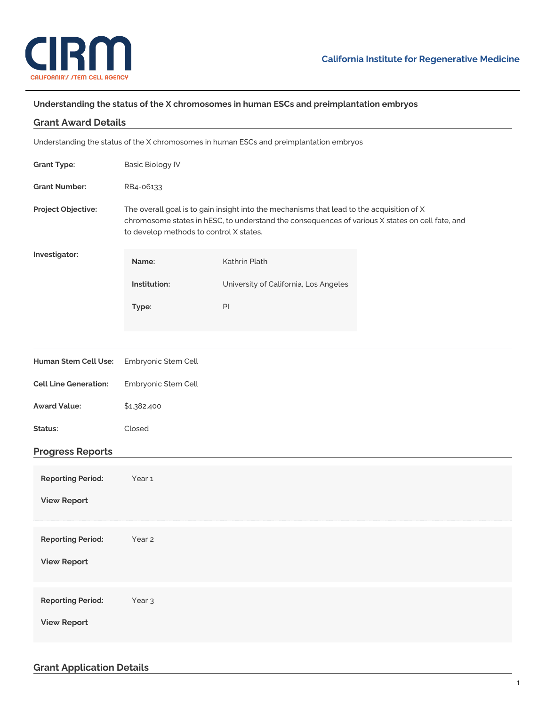

## **Understanding the status of the X chromosomes in human ESCs and preimplantation embryos**

| <b>Grant Award Details</b>                                                              |                                                                                                                                                                                                                                         |                                       |  |
|-----------------------------------------------------------------------------------------|-----------------------------------------------------------------------------------------------------------------------------------------------------------------------------------------------------------------------------------------|---------------------------------------|--|
| Understanding the status of the X chromosomes in human ESCs and preimplantation embryos |                                                                                                                                                                                                                                         |                                       |  |
| <b>Grant Type:</b>                                                                      | <b>Basic Biology IV</b>                                                                                                                                                                                                                 |                                       |  |
| <b>Grant Number:</b>                                                                    | RB4-06133                                                                                                                                                                                                                               |                                       |  |
| Project Objective:                                                                      | The overall goal is to gain insight into the mechanisms that lead to the acquisition of X<br>chromosome states in hESC, to understand the consequences of various X states on cell fate, and<br>to develop methods to control X states. |                                       |  |
| Investigator:                                                                           | Name:                                                                                                                                                                                                                                   | Kathrin Plath                         |  |
|                                                                                         | Institution:                                                                                                                                                                                                                            | University of California, Los Angeles |  |
|                                                                                         | Type:                                                                                                                                                                                                                                   | PI                                    |  |
|                                                                                         |                                                                                                                                                                                                                                         |                                       |  |
| Human Stem Cell Use:                                                                    | Embryonic Stem Cell                                                                                                                                                                                                                     |                                       |  |
| <b>Cell Line Generation:</b>                                                            | Embryonic Stem Cell                                                                                                                                                                                                                     |                                       |  |
| <b>Award Value:</b>                                                                     | \$1,382,400                                                                                                                                                                                                                             |                                       |  |
| Status:                                                                                 | Closed                                                                                                                                                                                                                                  |                                       |  |
| <b>Progress Reports</b>                                                                 |                                                                                                                                                                                                                                         |                                       |  |
| <b>Reporting Period:</b>                                                                | Year 1                                                                                                                                                                                                                                  |                                       |  |
| <b>View Report</b>                                                                      |                                                                                                                                                                                                                                         |                                       |  |
| <b>Reporting Period:</b>                                                                | Year 2                                                                                                                                                                                                                                  |                                       |  |
| <b>View Report</b>                                                                      |                                                                                                                                                                                                                                         |                                       |  |
|                                                                                         |                                                                                                                                                                                                                                         |                                       |  |
| <b>Reporting Period:</b>                                                                | Year <sub>3</sub>                                                                                                                                                                                                                       |                                       |  |
| <b>View Report</b>                                                                      |                                                                                                                                                                                                                                         |                                       |  |
|                                                                                         |                                                                                                                                                                                                                                         |                                       |  |